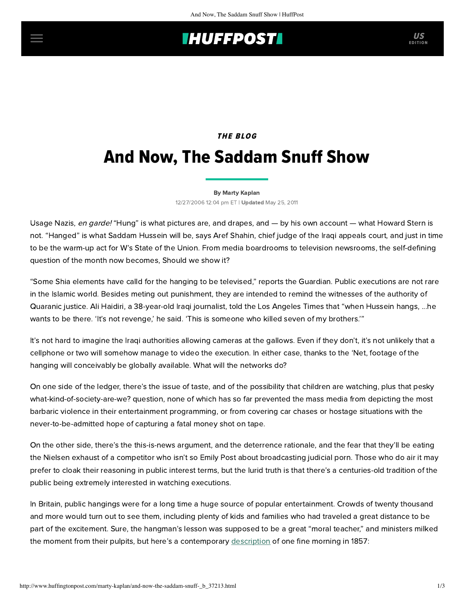## **IHUFFPOSTI** US

# **THE BLOG** And Now, The Saddam Snuff Show

#### [By Marty Kaplan](http://www.huffingtonpost.com/author/marty-kaplan)

12/27/2006 12:04 pm ET | Updated May 25, 2011

Usage Nazis, en garde! "Hung" is what pictures are, and drapes, and — by his own account — what Howard Stern is not. "Hanged" is what Saddam Hussein will be, says Aref Shahin, chief judge of the Iraqi appeals court, and just in time to be the warm-up act for W's State of the Union. From media boardrooms to television newsrooms, the self-defining question of the month now becomes, Should we show it?

"Some Shia elements have calld for the hanging to be televised," reports the [Guardian](http://www.guardian.co.uk/Iraq/Story/0,,1978780,00.html). Public executions are not rare in the Islamic world. Besides meting out punishment, they are intended to remind the witnesses of the authority of Quaranic justice. Ali Haidiri, a 38-year-old Iraqi journalist, told the [Los Angeles Times](http://www.latimes.com/news/nationworld/world/la-fg-saddam27dec27,0,7746212.story?coll=la-home-headlines) that "when Hussein hangs, ...he wants to be there. 'It's not revenge,' he said. 'This is someone who killed seven of my brothers.'"

It's not hard to imagine the Iraqi authorities allowing cameras at the gallows. Even if they don't, it's not unlikely that a cellphone or two will somehow manage to video the execution. In either case, thanks to the 'Net, footage of the hanging will conceivably be globally available. What will the networks do?

On one side of the ledger, there's the issue of taste, and of the possibility that children are watching, plus that pesky what-kind-of-society-are-we? question, none of which has so far prevented the mass media from depicting the most barbaric violence in their entertainment programming, or from covering car chases or hostage situations with the never-to-be-admitted hope of capturing a fatal money shot on tape.

On the other side, there's the this-is-news argument, and the deterrence rationale, and the fear that they'll be eating the Nielsen exhaust of a competitor who isn't so Emily Post about broadcasting judicial porn. Those who do air it may prefer to cloak their reasoning in public interest terms, but the lurid truth is that there's a centuries-old tradition of the public being extremely interested in watching executions.

In Britain, public hangings were for a long time a huge source of popular entertainment. Crowds of twenty thousand and more would turn out to see them, including plenty of kids and families who had traveled a great distance to be part of the excitement. Sure, the hangman's lesson was supposed to be a great "moral teacher," and ministers milked the moment from their pulpits, but here's a contemporary [description](http://www.mytimemachine.co.uk/gallows.htm) of one fine morning in 1857: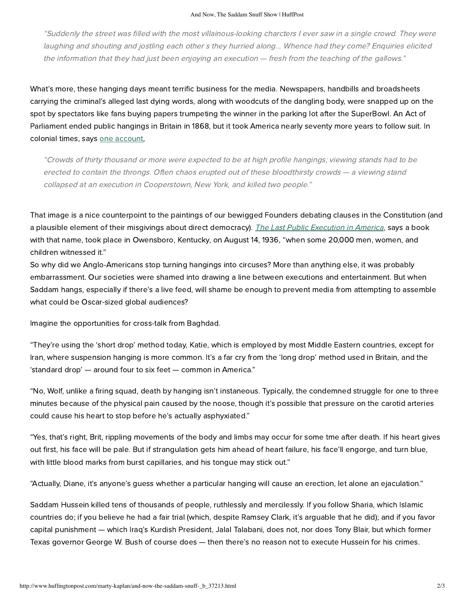"Suddenly the street was filled with the most villainous-looking charcters I ever saw in a single crowd. They were laughing and shouting and jostling each other s they hurried along... Whence had they come? Enquiries elicited the information that they had just been enjoying an execution — fresh from the teaching of the gallows."

What's more, these hanging days meant terrific business for the media. Newspapers, handbills and broadsheets carrying the criminal's alleged last dying words, along with woodcuts of the dangling body, were snapped up on the spot by spectators like fans buying papers trumpeting the winner in the parking lot after the SuperBowl. An Act of Parliament ended public hangings in Britain in 1868, but it took America nearly seventy more years to follow suit. In colonial times, says [one account,](http://www.georgetownwebdesign.com/ed/deathpenalty.html)

"Crowds of thirty thousand or more were expected to be at high profile hangings; viewing stands had to be erected to contain the throngs. Often chaos erupted out of these bloodthirsty crowds — a viewing stand collapsed at an execution in Cooperstown, New York, and killed two people."

That image is a nice counterpoint to the paintings of our bewigged Founders debating clauses in the Constitution (and a plausible element of their misgivings about direct democracy). [The Last Public Execution in America](http://www.geocities.com/lastpublichang/LastPublicExecution.htm), says a book with that name, took place in Owensboro, Kentucky, on August 14, 1936, "when some 20,000 men, women, and children witnessed it."

So why did we Anglo-Americans stop turning hangings into circuses? More than anything else, it was probably embarrassment. Our societies were shamed into drawing a line between executions and entertainment. But when Saddam hangs, especially if there's a live feed, will shame be enough to prevent media from attempting to assemble what could be Oscar-sized global audiences?

Imagine the opportunities for [cross-talk](http://www.richard.clark32.btinternet.co.uk/hanging2.html) from Baghdad.

"They're using the 'short drop' method today, Katie, which is employed by most Middle Eastern countries, except for Iran, where suspension hanging is more common. It's a far cry from the 'long drop' method used in Britain, and the 'standard drop' — around four to six feet — common in America."

"No, Wolf, unlike a firing squad, death by hanging isn't instaneous. Typically, the condemned struggle for one to three minutes because of the physical pain caused by the noose, though it's possible that pressure on the carotid arteries could cause his heart to stop before he's actually asphyxiated."

"Yes, that's right, Brit, rippling movements of the body and limbs may occur for some tme after death. If his heart gives out first, his face will be pale. But if strangulation gets him ahead of heart failure, his face'll engorge, and turn blue, with little blood marks from burst capillaries, and his tongue may stick out."

"Actually, Diane, it's anyone's guess whether a particular hanging will cause an erection, let alone an ejaculation."

Saddam Hussein killed tens of thousands of people, ruthlessly and mercilessly. If you follow Sharia, which Islamic countries do; if you believe he had a fair trial (which, despite Ramsey Clark, it's arguable that he did); and if you favor capital punishment — which Iraq's Kurdish President, Jalal Talabani, does not, nor does Tony Blair, but which former Texas governor George W. Bush of course does — then there's no reason not to execute Hussein for his crimes.